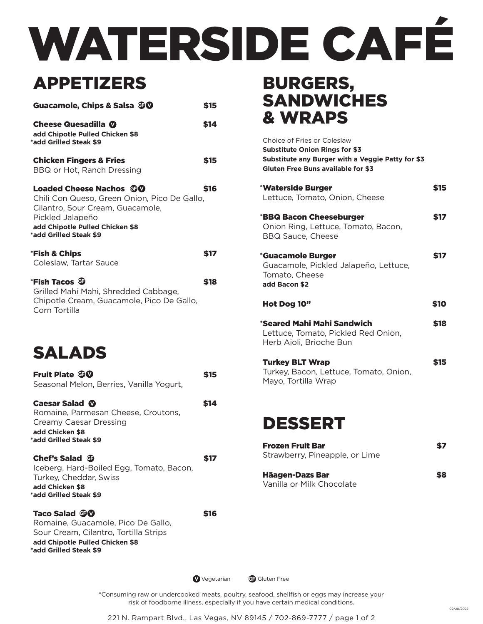# WATERSIDE CAFÉ

# APPETIZERS

| Guacamole, Chips & Salsa TO                                                                                                                                                                         | \$15 |
|-----------------------------------------------------------------------------------------------------------------------------------------------------------------------------------------------------|------|
| Cheese Quesadilla <b>W</b><br>add Chipotle Pulled Chicken \$8<br>*add Grilled Steak \$9                                                                                                             | \$14 |
| <b>Chicken Fingers &amp; Fries</b><br>BBQ or Hot, Ranch Dressing                                                                                                                                    | \$15 |
| Loaded Cheese Nachos <b>CD</b><br>Chili Con Queso, Green Onion, Pico De Gallo,<br>Cilantro, Sour Cream, Guacamole,<br>Pickled Jalapeño<br>add Chipotle Pulled Chicken \$8<br>*add Grilled Steak \$9 | \$16 |
| <b>*Fish &amp; Chips</b><br>Coleslaw, Tartar Sauce                                                                                                                                                  | \$17 |
| *Fish Tacos <b>O</b><br>Grilled Mahi Mahi, Shredded Cabbage,<br>Chipotle Cream, Guacamole, Pico De Gallo,<br>Corn Tortilla                                                                          | \$18 |
| <b>SALADS</b>                                                                                                                                                                                       |      |
| <b>Fruit Plate OV</b><br>Seasonal Melon, Berries, Vanilla Yogurt,                                                                                                                                   | \$15 |
| Caesar Salad <sup>o</sup><br>Romaine, Parmesan Cheese, Croutons,<br><b>Creamy Caesar Dressing</b><br>add Chicken \$8<br>*add Grilled Steak \$9                                                      | \$14 |
| Chef's Salad <b>G</b><br>Iceberg, Hard-Boiled Egg, Tomato, Bacon,<br>Turkey, Cheddar, Swiss<br>add Chicken \$8<br>*add Grilled Steak \$9                                                            | \$17 |
| Taco Salad TV                                                                                                                                                                                       | \$16 |

Romaine, Guacamole, Pico De Gallo, Sour Cream, Cilantro, Tortilla Strips **add Chipotle Pulled Chicken \$8 \*add Grilled Steak \$9**

#### BURGERS, **SANDWICHES** & WRAPS

| Choice of Fries or Coleslaw<br><b>Substitute Onion Rings for \$3</b><br>Substitute any Burger with a Veggie Patty for \$3<br><b>Gluten Free Buns available for \$3</b> |            |
|------------------------------------------------------------------------------------------------------------------------------------------------------------------------|------------|
| *Waterside Burger<br>Lettuce, Tomato, Onion, Cheese                                                                                                                    | \$15       |
| *BBQ Bacon Cheeseburger<br>Onion Ring, Lettuce, Tomato, Bacon,<br><b>BBQ Sauce, Cheese</b>                                                                             | \$17       |
| <i><b>*Guacamole Burger</b></i><br>Guacamole, Pickled Jalapeño, Lettuce,<br>Tomato, Cheese<br>add Bacon \$2                                                            | <b>S17</b> |
| Hot Dog 10"                                                                                                                                                            | \$10       |
| *Seared Mahi Mahi Sandwich<br>Lettuce, Tomato, Pickled Red Onion,<br>Herb Aioli, Brioche Bun                                                                           | \$18       |
| <b>Turkey BLT Wrap</b><br>Turkey, Bacon, Lettuce, Tomato, Onion,<br>Mayo, Tortilla Wrap                                                                                | S15        |

## DESSERT

| <b>Frozen Fruit Bar</b><br>Strawberry, Pineapple, or Lime | S7 |
|-----------------------------------------------------------|----|
| <b>Häagen-Dazs Bar</b><br>Vanilla or Milk Chocolate       | S8 |

**V** Vegetarian **G** Gluten Free

\*Consuming raw or undercooked meats, poultry, seafood, shellfish or eggs may increase your risk of foodborne illness, especially if you have certain medical conditions.